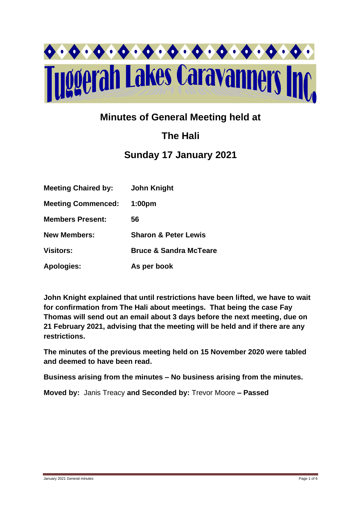

# **Minutes of General Meeting held at**

# **The Hali**

# **Sunday 17 January 2021**

| <b>Meeting Chaired by:</b> | <b>John Knight</b>                |
|----------------------------|-----------------------------------|
| <b>Meeting Commenced:</b>  | 1:00 <sub>pm</sub>                |
| <b>Members Present:</b>    | 56                                |
| <b>New Members:</b>        | <b>Sharon &amp; Peter Lewis</b>   |
| <b>Visitors:</b>           | <b>Bruce &amp; Sandra McTeare</b> |
| <b>Apologies:</b>          | As per book                       |

**John Knight explained that until restrictions have been lifted, we have to wait for confirmation from The Hali about meetings. That being the case Fay Thomas will send out an email about 3 days before the next meeting, due on 21 February 2021, advising that the meeting will be held and if there are any restrictions.**

**The minutes of the previous meeting held on 15 November 2020 were tabled and deemed to have been read.**

**Business arising from the minutes – No business arising from the minutes.**

**Moved by:** Janis Treacy **and Seconded by:** Trevor Moore **– Passed**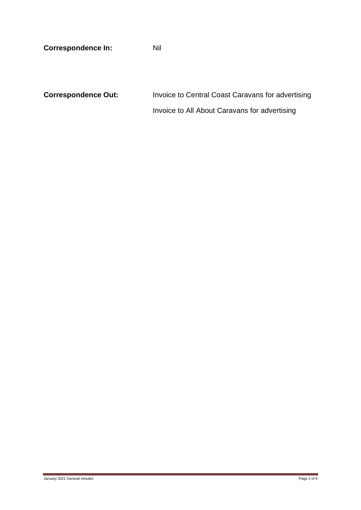**Correspondence In:** Nil

**Correspondence Out:** Invoice to Central Coast Caravans for advertising Invoice to All About Caravans for advertising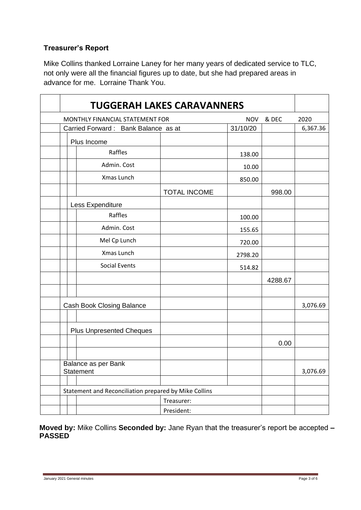## **Treasurer's Report**

Mike Collins thanked Lorraine Laney for her many years of dedicated service to TLC, not only were all the financial figures up to date, but she had prepared areas in advance for me. Lorraine Thank You.

| <b>TUGGERAH LAKES CARAVANNERS</b>                     |                     |            |         |          |
|-------------------------------------------------------|---------------------|------------|---------|----------|
| MONTHLY FINANCIAL STATEMENT FOR                       |                     | <b>NOV</b> | & DEC   | 2020     |
| Carried Forward: Bank Balance as at                   |                     | 31/10/20   |         | 6,367.36 |
| Plus Income                                           |                     |            |         |          |
| Raffles                                               |                     | 138.00     |         |          |
| Admin. Cost                                           |                     | 10.00      |         |          |
| Xmas Lunch                                            |                     | 850.00     |         |          |
|                                                       | <b>TOTAL INCOME</b> |            | 998.00  |          |
| Less Expenditure                                      |                     |            |         |          |
| Raffles                                               |                     | 100.00     |         |          |
| Admin. Cost                                           |                     | 155.65     |         |          |
| Mel Cp Lunch                                          |                     | 720.00     |         |          |
| Xmas Lunch                                            |                     | 2798.20    |         |          |
| <b>Social Events</b>                                  |                     | 514.82     |         |          |
|                                                       |                     |            | 4288.67 |          |
|                                                       |                     |            |         |          |
| Cash Book Closing Balance                             |                     |            |         | 3,076.69 |
|                                                       |                     |            |         |          |
| <b>Plus Unpresented Cheques</b>                       |                     |            |         |          |
|                                                       |                     |            | 0.00    |          |
|                                                       |                     |            |         |          |
| Balance as per Bank<br>Statement                      |                     |            |         | 3,076.69 |
|                                                       |                     |            |         |          |
| Statement and Reconciliation prepared by Mike Collins |                     |            |         |          |
|                                                       | Treasurer:          |            |         |          |
| President:                                            |                     |            |         |          |

**Moved by:** Mike Collins **Seconded by:** Jane Ryan that the treasurer's report be accepted **– PASSED**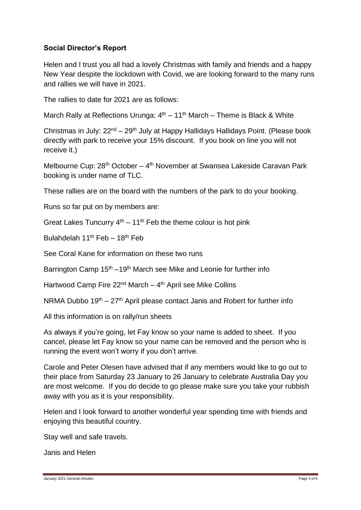## **Social Director's Report**

Helen and I trust you all had a lovely Christmas with family and friends and a happy New Year despite the lockdown with Covid, we are looking forward to the many runs and rallies we will have in 2021.

The rallies to date for 2021 are as follows:

March Rally at Reflections Urunga: 4<sup>th</sup> – 11<sup>th</sup> March – Theme is Black & White

Christmas in July: 22<sup>nd</sup> – 29<sup>th</sup> July at Happy Hallidays Hallidays Point. (Please book directly with park to receive your 15% discount. If you book on line you will not receive it.)

Melbourne Cup: 28<sup>th</sup> October – 4<sup>th</sup> November at Swansea Lakeside Caravan Park booking is under name of TLC.

These rallies are on the board with the numbers of the park to do your booking.

Runs so far put on by members are:

Great Lakes Tuncurry  $4<sup>th</sup> - 11<sup>th</sup>$  Feb the theme colour is hot pink

Bulahdelah 11<sup>th</sup> Feb – 18<sup>th</sup> Feb

See Coral Kane for information on these two runs

Barrington Camp  $15<sup>th</sup> - 19<sup>th</sup>$  March see Mike and Leonie for further info

Hartwood Camp Fire 22<sup>nd</sup> March – 4<sup>th</sup> April see Mike Collins

NRMA Dubbo  $19<sup>th</sup> - 27<sup>th</sup>$  April please contact Janis and Robert for further info

All this information is on rally/run sheets

As always if you're going, let Fay know so your name is added to sheet. If you cancel, please let Fay know so your name can be removed and the person who is running the event won't worry if you don't arrive.

Carole and Peter Olesen have advised that if any members would like to go out to their place from Saturday 23 January to 26 January to celebrate Australia Day you are most welcome. If you do decide to go please make sure you take your rubbish away with you as it is your responsibility.

Helen and I look forward to another wonderful year spending time with friends and enjoying this beautiful country.

Stay well and safe travels.

Janis and Helen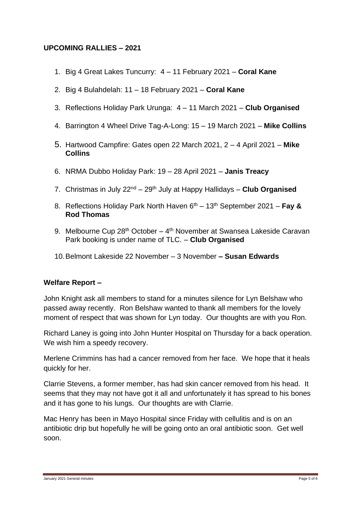### **UPCOMING RALLIES – 2021**

- 1. Big 4 Great Lakes Tuncurry: 4 11 February 2021 **Coral Kane**
- 2. Big 4 Bulahdelah: 11 18 February 2021 **Coral Kane**
- 3. Reflections Holiday Park Urunga: 4 11 March 2021 **Club Organised**
- 4. Barrington 4 Wheel Drive Tag-A-Long: 15 19 March 2021 **Mike Collins**
- 5. Hartwood Campfire: Gates open 22 March 2021, 2 4 April 2021 **Mike Collins**
- 6. NRMA Dubbo Holiday Park: 19 28 April 2021 **Janis Treacy**
- 7. Christmas in July 22nd 29th July at Happy Hallidays **Club Organised**
- 8. Reflections Holiday Park North Haven 6<sup>th</sup> 13<sup>th</sup> September 2021 **Fay & Rod Thomas**
- 9. Melbourne Cup 28<sup>th</sup> October 4<sup>th</sup> November at Swansea Lakeside Caravan Park booking is under name of TLC. – **Club Organised**
- 10.Belmont Lakeside 22 November 3 November **– Susan Edwards**

#### **Welfare Report –**

John Knight ask all members to stand for a minutes silence for Lyn Belshaw who passed away recently. Ron Belshaw wanted to thank all members for the lovely moment of respect that was shown for Lyn today. Our thoughts are with you Ron.

Richard Laney is going into John Hunter Hospital on Thursday for a back operation. We wish him a speedy recovery.

Merlene Crimmins has had a cancer removed from her face. We hope that it heals quickly for her.

Clarrie Stevens, a former member, has had skin cancer removed from his head. It seems that they may not have got it all and unfortunately it has spread to his bones and it has gone to his lungs. Our thoughts are with Clarrie.

Mac Henry has been in Mayo Hospital since Friday with cellulitis and is on an antibiotic drip but hopefully he will be going onto an oral antibiotic soon. Get well soon.